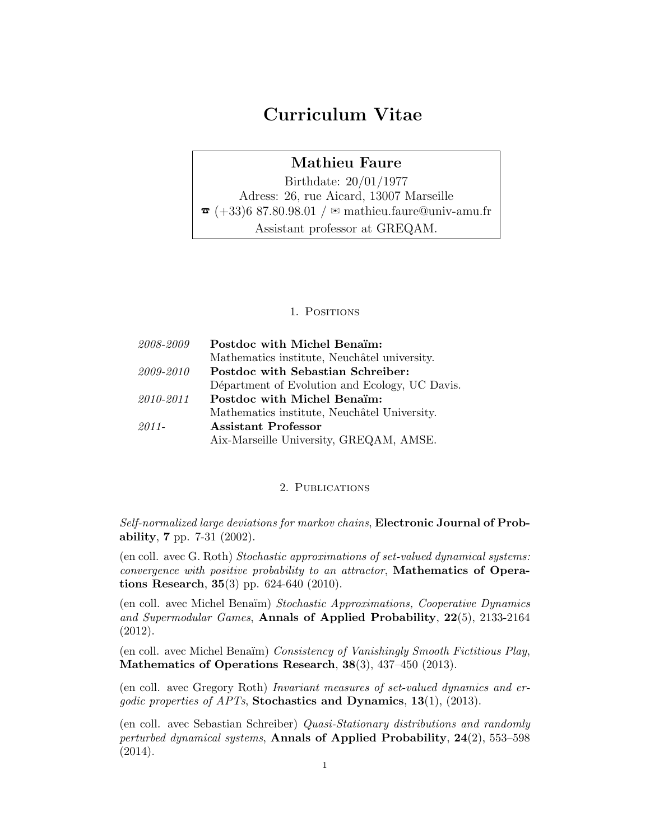# Curriculum Vitae

### Mathieu Faure

Birthdate: 20/01/1977 Adress: 26, rue Aicard, 13007 Marseille  $\tau$  (+33)6 87.80.98.01 /  $\approx$  mathieu.faure@univ-amu.fr Assistant professor at GREQAM.

#### 1. Positions

| 2008-2009 | Postdoc with Michel Benaim:                    |
|-----------|------------------------------------------------|
|           | Mathematics institute, Neuchâtel university.   |
| 2009-2010 | Postdoc with Sebastian Schreiber:              |
|           | Départment of Evolution and Ecology, UC Davis. |
| 2010-2011 | Postdoc with Michel Benaim:                    |
|           | Mathematics institute, Neuchâtel University.   |
| 2011-     | Assistant Professor                            |
|           | Aix-Marseille University, GREQAM, AMSE.        |

#### 2. PUBLICATIONS

Self-normalized large deviations for markov chains, Electronic Journal of Probability, 7 pp. 7-31 (2002).

(en coll. avec G. Roth) Stochastic approximations of set-valued dynamical systems: convergence with positive probability to an attractor, Mathematics of Operations Research, 35(3) pp. 624-640 (2010).

(en coll. avec Michel Bena¨ım) Stochastic Approximations, Cooperative Dynamics and Supermodular Games, Annals of Applied Probability, 22(5), 2133-2164 (2012).

(en coll. avec Michel Benaïm) Consistency of Vanishingly Smooth Fictitious Play, Mathematics of Operations Research, 38(3), 437–450 (2013).

(en coll. avec Gregory Roth) Invariant measures of set-valued dynamics and ergodic properties of APTs, Stochastics and Dynamics, 13(1), (2013).

(en coll. avec Sebastian Schreiber) Quasi-Stationary distributions and randomly perturbed dynamical systems, Annals of Applied Probability, 24(2), 553–598 (2014).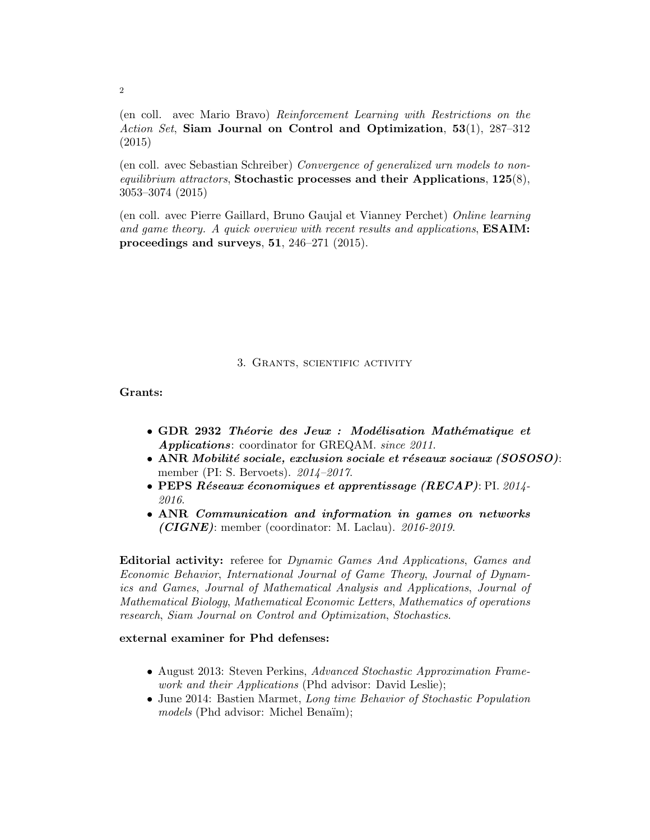(en coll. avec Mario Bravo) Reinforcement Learning with Restrictions on the Action Set, Siam Journal on Control and Optimization, 53(1), 287–312 (2015)

(en coll. avec Sebastian Schreiber) Convergence of generalized urn models to nonequilibrium attractors, Stochastic processes and their Applications,  $125(8)$ , 3053–3074 (2015)

(en coll. avec Pierre Gaillard, Bruno Gaujal et Vianney Perchet) Online learning and game theory. A quick overview with recent results and applications, **ESAIM:** proceedings and surveys, 51, 246–271 (2015).

#### 3. Grants, scientific activity

Grants:

- GDR 2932 Théorie des Jeux : Modélisation Mathématique et Applications: coordinator for GREQAM. since 2011.
- ANR Mobilité sociale, exclusion sociale et réseaux sociaux  $(SOSOSO)$ : member (PI: S. Bervoets). 2014–2017.
- PEPS Réseaux économiques et apprentissage (RECAP): PI. 2014-2016.
- ANR Communication and information in games on networks  $(CIGNE)$ : member (coordinator: M. Laclau). 2016-2019.

Editorial activity: referee for Dynamic Games And Applications, Games and Economic Behavior, International Journal of Game Theory, Journal of Dynamics and Games, Journal of Mathematical Analysis and Applications, Journal of Mathematical Biology, Mathematical Economic Letters, Mathematics of operations research, Siam Journal on Control and Optimization, Stochastics.

#### external examiner for Phd defenses:

- August 2013: Steven Perkins, Advanced Stochastic Approximation Framework and their Applications (Phd advisor: David Leslie);
- June 2014: Bastien Marmet, Long time Behavior of Stochastic Population models (Phd advisor: Michel Benaïm);

2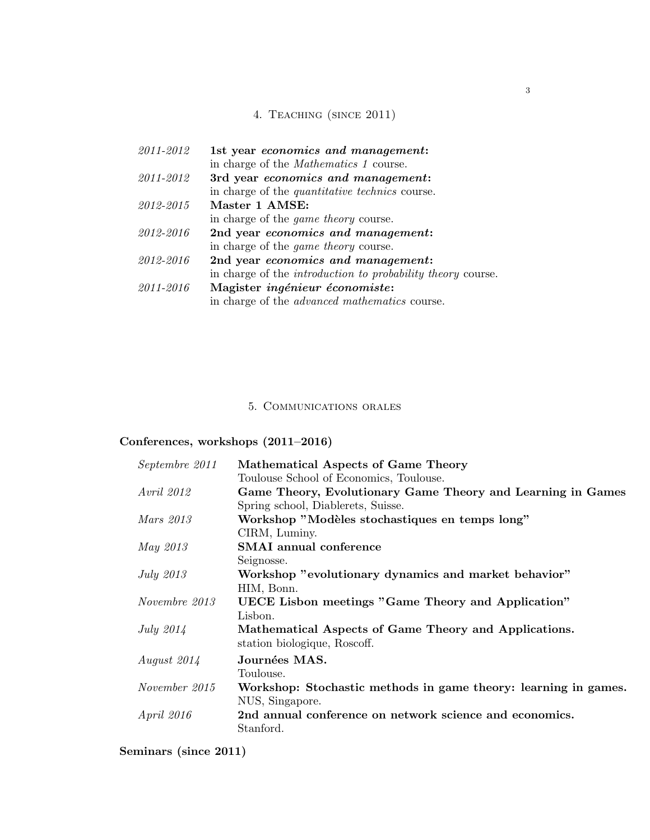## 4. Teaching (since 2011)

| 2011-2012 | 1st year economics and management:                                 |
|-----------|--------------------------------------------------------------------|
|           | in charge of the <i>Mathematics</i> 1 course.                      |
| 2011-2012 | 3rd year economics and management:                                 |
|           | in charge of the <i>quantitative technics</i> course.              |
| 2012-2015 | Master 1 AMSE:                                                     |
|           | in charge of the <i>game theory</i> course.                        |
| 2012-2016 | 2nd year economics and management:                                 |
|           | in charge of the <i>game theory</i> course.                        |
| 2012-2016 | 2nd year economics and management:                                 |
|           | in charge of the <i>introduction to probability theory</i> course. |
| 2011-2016 | Magister ingénieur économiste:                                     |
|           | in charge of the <i>advanced mathematics</i> course.               |

### 5. Communications orales

### Conferences, workshops (2011–2016)

| Septembre 2011    | Mathematical Aspects of Game Theory                             |
|-------------------|-----------------------------------------------------------------|
|                   | Toulouse School of Economics, Toulouse.                         |
| <i>Avril 2012</i> | Game Theory, Evolutionary Game Theory and Learning in Games     |
|                   | Spring school, Diablerets, Suisse.                              |
| Mars 2013         | Workshop "Modèles stochastiques en temps long"                  |
|                   | CIRM, Luminy.                                                   |
| <i>May 2013</i>   | <b>SMAI</b> annual conference                                   |
|                   | Seignosse.                                                      |
| <i>July 2013</i>  | Workshop "evolutionary dynamics and market behavior"            |
|                   | HIM, Bonn.                                                      |
| Novembre 2013     | UECE Lisbon meetings "Game Theory and Application"              |
|                   | Lisbon.                                                         |
| July $2014$       | Mathematical Aspects of Game Theory and Applications.           |
|                   | station biologique, Roscoff.                                    |
| August $2014$     | Journées MAS.                                                   |
|                   | Toulouse.                                                       |
| November 2015     | Workshop: Stochastic methods in game theory: learning in games. |
|                   | NUS, Singapore.                                                 |
| <i>April 2016</i> | 2nd annual conference on network science and economics.         |
|                   | Stanford.                                                       |

## Seminars (since 2011)